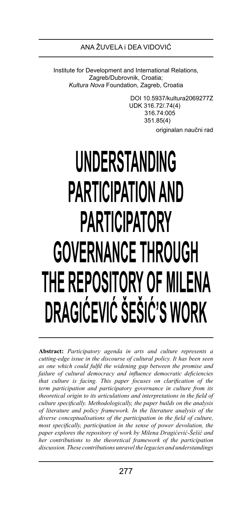Institute for Development and International Relations, Zagreb/Dubrovnik, Croatia; *Kultura Nova* Foundation, Zagreb, Croatia

> DOI 10.5937/kultura2069277Z UDK 316.72/.74(4) 316.74:005 351.85(4) originalan naučni rad

# **UNDERSTANDING PARTICIPATION AND PARTICIPATORY GOVERNANCE THROUGH THE REPOSITORY OF MILENA DRAGIĆEVIĆ ŠEŠIĆ'S WORK**

**Abstract:** *Participatory agenda in arts and culture represents a cutting-edge issue in the discourse of cultural policy. It has been seen as one which could fulfil the widening gap between the promise and failure of cultural democracy and influence democratic deficiencies that culture is facing. This paper focuses on clarification of the term participation and participatory governance in culture from its theoretical origin to its articulations and interpretations in the field of culture specifically. Methodologically, the paper builds on the analysis of literature and policy framework. In the literature analysis of the diverse conceptualisations of the participation in the field of culture, most specifically, participation in the sense of power devolution, the paper explores the repository of work by Milena Dragićević-Šešić and her contributions to the theoretical framework of the participation discussion. These contributions unravel the legacies and understandings*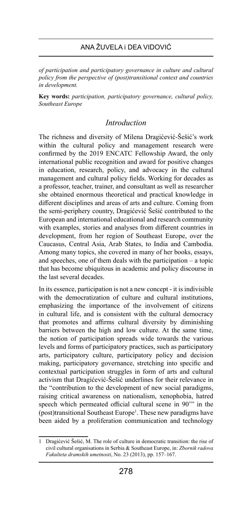*of participation and participatory governance in culture and cultural policy from the perspective of (post)transitional context and countries in development.* 

**Key words:** *participation, participatory governance, cultural policy, Southeast Europe*

# *Introduction*

The richness and diversity of Milena Dragićević-Šešić's work within the cultural policy and management research were confirmed by the 2019 ENCATC Fellowship Award, the only international public recognition and award for positive changes in education, research, policy, and advocacy in the cultural management and cultural policy fields. Working for decades as a professor, teacher, trainer, and consultant as well as researcher she obtained enormous theoretical and practical knowledge in different disciplines and areas of arts and culture. Coming from the semi-periphery country, Dragićević Šešić contributed to the European and international educational and research community with examples, stories and analyses from different countries in development, from her region of Southeast Europe, over the Caucasus, Central Asia, Arab States, to India and Cambodia. Among many topics, she covered in many of her books, essays, and speeches, one of them deals with the participation – a topic that has become ubiquitous in academic and policy discourse in the last several decades.

In its essence, participation is not a new concept - it is indivisible with the democratization of culture and cultural institutions, emphasizing the importance of the involvement of citizens in cultural life, and is consistent with the cultural democracy that promotes and affirms cultural diversity by diminishing barriers between the high and low culture. At the same time, the notion of participation spreads wide towards the various levels and forms of participatory practices, such as participatory arts, participatory culture, participatory policy and decision making, participatory governance, stretching into specific and contextual participation struggles in form of arts and cultural activism that Dragićević-Šešić underlines for their relevance in the "contribution to the development of new social paradigms, raising critical awareness on nationalism, xenophobia, hatred speech which permeated official cultural scene in 90'" in the (post)transitional Southeast Europe<sup>1</sup>. These new paradigms have been aided by a proliferation communication and technology

<sup>1</sup> Dragićević Šešić, M. The role of culture in democratic transition: the rise of civil cultural organisations in Serbia & Southeast Europe, in: *Zbornik radova Fakulteta dramskih umetnosti*, No. 23 (2013), pp. 157–167.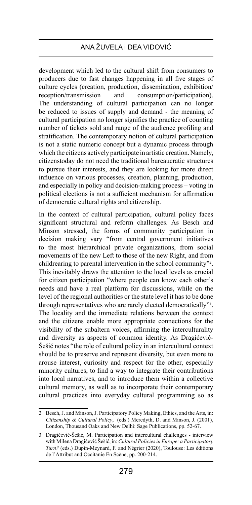development which led to the cultural shift from consumers to producers due to fast changes happening in all five stages of culture cycles (creation, production, dissemination, exhibition/ reception/transmission and consumption/participation). The understanding of cultural participation can no longer be reduced to issues of supply and demand - the meaning of cultural participation no longer signifies the practice of counting number of tickets sold and range of the audience profiling and stratification. The contemporary notion of cultural participation is not a static numeric concept but a dynamic process through which the citizens actively participate in artistic creation. Namely, citizenstoday do not need the traditional bureaucratic structures to pursue their interests, and they are looking for more direct influence on various processes, creation, planning, production, and especially in policy and decision-making process – voting in political elections is not a sufficient mechanism for affirmation of democratic cultural rights and citizenship.

In the context of cultural participation, cultural policy faces significant structural and reform challenges. As Besch and Minson stressed, the forms of community participation in decision making vary "from central government initiatives to the most hierarchical private organizations, from social movements of the new Left to those of the new Right, and from childrearing to parental intervention in the school community"2 . This inevitably draws the attention to the local levels as crucial for citizen participation "where people can know each other's needs and have a real platform for discussions, while on the level of the regional authorities or the state level it has to be done through representatives who are rarely elected democratically"3 . The locality and the immediate relations between the context and the citizens enable more appropriate connections for the visibility of the subaltern voices, affirming the interculturality and diversity as aspects of common identity. As Dragićević-Šešić notes "the role of cultural policy in an intercultural context should be to preserve and represent diversity, but even more to arouse interest, curiosity and respect for the other, especially minority cultures, to find a way to integrate their contributions into local narratives, and to introduce them within a collective cultural memory, as well as to incorporate their contemporary cultural practices into everyday cultural programming so as

<sup>2</sup> Besch, J. and Minson, J. Participatory Policy Making, Ethics, and the Arts, in: *Citizenship & Cultural Policy*, (eds.) Meredyth, D. and Minson, J. (2001), London, Thousand Oaks and New Delhi: Sage Publications, pp. 52-67.

<sup>3</sup> Dragićević-Šešić, M. Participation and intercultural challenges - interview with Milena Dragićević Šešić, in: *Cultural Policiesin Europe: a Participatory Turn?* (eds.) Dupin-Meynard, F. and Négrier (2020), Toulouse: Les éditions de l'Attribut and Occitanie En Scène, pp. 200-214.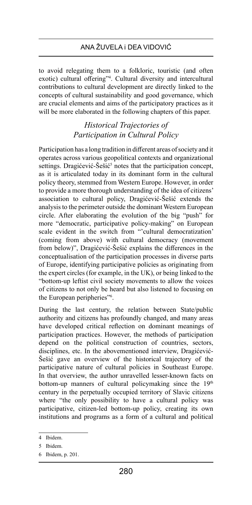to avoid relegating them to a folkloric, touristic (and often exotic) cultural offering"4 . Cultural diversity and intercultural contributions to cultural development are directly linked to the concepts of cultural sustainability and good governance, which are crucial elements and aims of the participatory practices as it will be more elaborated in the following chapters of this paper.

# *Historical Trajectories of Participation in Cultural Policy*

Participation has a long tradition in different areas of society and it operates across various geopolitical contexts and organizational settings. Dragićević-Šešić<sup>5</sup> notes that the participation concept, as it is articulated today in its dominant form in the cultural policy theory, stemmed from Western Europe. However, in order to provide a more thorough understanding of the idea of citizens' association to cultural policy, Dragićević-Šešić extends the analysis to the perimeter outside the dominant Western European circle. After elaborating the evolution of the big "push" for more "democratic, participative policy-making" on European scale evident in the switch from "'cultural democratization' (coming from above) with cultural democracy (movement from below)", Dragićević-Šešić explains the differences in the conceptualisation of the participation processes in diverse parts of Europe, identifying participative policies as originating from the expert circles (for example, in the UK), or being linked to the "bottom-up leftist civil society movements to allow the voices of citizens to not only be heard but also listened to focusing on the European peripheries"6 .

During the last century, the relation between State/public authority and citizens has profoundly changed, and many areas have developed critical reflection on dominant meanings of participation practices. However, the methods of participation depend on the political construction of countries, sectors, disciplines, etc. In the abovementioned interview, Dragićević-Šešić gave an overview of the historical trajectory of the participative nature of cultural policies in Southeast Europe. In that overview, the author unravelled lesser-known facts on bottom-up manners of cultural policymaking since the 19<sup>th</sup> century in the perpetually occupied territory of Slavic citizens where "the only possibility to have a cultural policy was participative, citizen-led bottom-up policy, creating its own institutions and programs as a form of a cultural and political

<sup>4</sup> Ibidem.

<sup>5</sup> Ibidem.

<sup>6</sup> Ibidem, p. 201.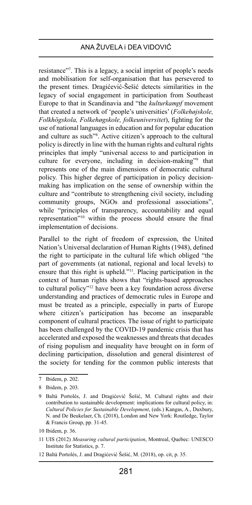resistance"7 . This is a legacy, a social imprint of people's needs and mobilisation for self-organisation that has persevered to the present times. Dragićević-Šešić detects similarities in the legacy of social engagement in participation from Southeast Europe to that in Scandinavia and "the *kulturkampf* movement that created a network of 'people's universities' (*Folkehøjskole, Folkhögskola, Folkehøgskole, folkeuniversitet*), fighting for the use of national languages in education and for popular education and culture as such"8 . Active citizen's approach to the cultural policy is directly in line with the human rights and cultural rights principles that imply "universal access to and participation in culture for everyone, including in decision-making"9 that represents one of the main dimensions of democratic cultural policy. This higher degree of participation in policy decisionmaking has implication on the sense of ownership within the culture and "contribute to strengthening civil society, including community groups, NGOs and professional associations", while "principles of transparency, accountability and equal representation"10 within the process should ensure the final implementation of decisions.

Parallel to the right of freedom of expression, the United Nation's Universal declaration of Human Rights (1948), defined the right to participate in the cultural life which obliged "the part of governments (at national, regional and local levels) to ensure that this right is upheld."<sup>11</sup>. Placing participation in the context of human rights shows that "rights-based approaches to cultural policy"12 have been a key foundation across diverse understanding and practices of democratic rules in Europe and must be treated as a principle, especially in parts of Europe where citizen's participation has become an inseparable component of cultural practices. The issue of right to participate has been challenged by the COVID-19 pandemic crisis that has accelerated and exposed the weaknesses and threats that decades of rising populism and inequality have brought on in form of declining participation, dissolution and general disinterest of the society for tending for the common public interests that

<sup>7</sup> Ibidem, p. 202.

<sup>8</sup> Ibidem, p. 203.

<sup>9</sup> Baltà Portolés, J. and Dragićević Šešić, M. Cultural rights and their contribution to sustainable development: implications for cultural policy, in: *Cultural Policies for Sustainable Development*, (eds.) Kangas, A., Duxbury, N. and De Beukelaer, Ch. (2018), London and New York: Routledge, Taylor & Francis Group, pp. 31-45.

<sup>10</sup> Ibidem, p. 36.

<sup>11</sup> UIS (2012) *Measuring cultural participation*, Montreal, Quebec: UNESCO Institute for Statistics, p. 7.

<sup>12</sup> Baltà Portolés, J. and Dragićević Šešić, M. (2018), op. cit, p. 35.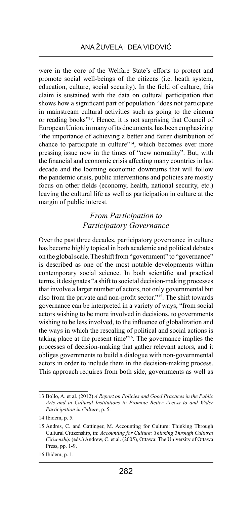were in the core of the Welfare State's efforts to protect and promote social well-beings of the citizens (i.e. heath system, education, culture, social security). In the field of culture, this claim is sustained with the data on cultural participation that shows how a significant part of population "does not participate in mainstream cultural activities such as going to the cinema or reading books"13. Hence, it is not surprising that Council of European Union, in many of its documents, has been emphasizing "the importance of achieving a better and fairer distribution of chance to participate in culture"14, which becomes ever more pressing issue now in the times of "new normality". But, with the financial and economic crisis affecting many countries in last decade and the looming economic downturns that will follow the pandemic crisis, public interventions and policies are mostly focus on other fields (economy, health, national security, etc.) leaving the cultural life as well as participation in culture at the margin of public interest.

# *From Participation to Participatory Governance*

Over the past three decades, participatory governance in culture has become highly topical in both academic and political debates on the global scale. The shift from "government" to "governance" is described as one of the most notable developments within contemporary social science. In both scientific and practical terms, it designates "a shift to societal decision-making processes that involve a larger number of actors, not only governmental but also from the private and non-profit sector."15. The shift towards governance can be interpreted in a variety of ways, "from social actors wishing to be more involved in decisions, to governments wishing to be less involved, to the influence of globalization and the ways in which the rescaling of political and social actions is taking place at the present time"16. The governance implies the processes of decision-making that gather relevant actors, and it obliges governments to build a dialogue with non-governmental actors in order to include them in the decision-making process. This approach requires from both side, governments as well as

<sup>13</sup> Bollo, A. et al. (2012) *A Report on Policies and Good Practices in the Public Arts and in Cultural Institutions to Promote Better Access to and Wider Participation in Culture*, p. 5.

<sup>14</sup> Ibidem, p. 5.

<sup>15</sup> Andres, C. and Gattinger, M. Accounting for Culture: Thinking Through Cultural Citizenship, in: *Accounting for Culture: Thinking Through Cultural Citizenship* (eds.) Andrew, C. et al. (2005), Ottawa: The University of Ottawa Press, pp. 1-9.

<sup>16</sup> Ibidem, p. 1.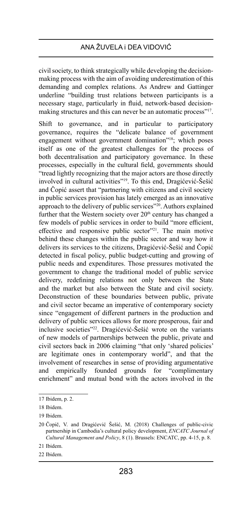civil society, to think strategically while developing the decisionmaking process with the aim of avoiding underestimation of this demanding and complex relations. As Andrew and Gattinger underline "building trust relations between participants is a necessary stage, particularly in fluid, network-based decisionmaking structures and this can never be an automatic process"<sup>17</sup>.

Shift to governance, and in particular to participatory governance, requires the "delicate balance of government engagement without government domination"<sup>18</sup>; which poses itself as one of the greatest challenges for the process of both decentralisation and participatory governance. In these processes, especially in the cultural field, governments should "tread lightly recognizing that the major actors are those directly involved in cultural activities"19. To this end, Dragićević-Šešić and Čopić assert that "partnering with citizens and civil society in public services provision has lately emerged as an innovative approach to the delivery of public services"20. Authors explained further that the Western society over  $20<sup>th</sup>$  century has changed a few models of public services in order to build "more efficient, effective and responsive public sector"<sup>21</sup>. The main motive behind these changes within the public sector and way how it delivers its services to the citizens, Dragićević-Šešić and Čopić detected in fiscal policy, public budget-cutting and growing of public needs and expenditures. Those pressures motivated the government to change the traditional model of public service delivery, redefining relations not only between the State and the market but also between the State and civil society. Deconstruction of these boundaries between public, private and civil sector became an imperative of contemporary society since "engagement of different partners in the production and delivery of public services allows for more prosperous, fair and inclusive societies"22. Dragićević-Šešić wrote on the variants of new models of partnerships between the public, private and civil sectors back in 2006 claiming "that only 'shared policies' are legitimate ones in contemporary world", and that the involvement of researches in sense of providing argumentative and empirically founded grounds for "complimentary enrichment" and mutual bond with the actors involved in the

22 Ibidem.

<sup>17</sup> Ibidem, p. 2.

<sup>18</sup> Ibidem.

<sup>19</sup> Ibidem.

<sup>20</sup> Čopič, V. and Dragićević Šešić, M. (2018) Challenges of public-civic partnership in Cambodia's cultural policy development, *ENCATC Journal of Cultural Management and Policy*, 8 (1). Brussels: ENCATC, pp. 4-15, p. 8.

<sup>21</sup> Ibidem.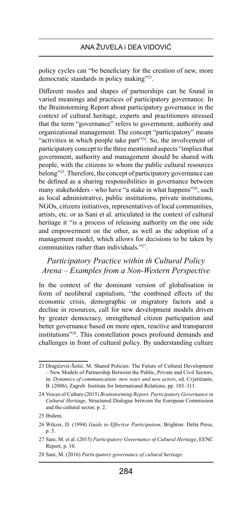policy cycles can "be beneficiary for the creation of new, more democratic standards in policy making"23.

Different modes and shapes of partnerships can be found in varied meanings and practices of participatory governance. In the Brainstorming Report about participatory governance in the context of cultural heritage, experts and practitioners stressed that the term "governance" refers to government, authority and organizational management. The concept "participatory" means "activities in which people take part"<sup>24</sup>. So, the involvement of participatory concept to the three mentioned aspects "implies that government, authority and management should be shared with people, with the citizens to whom the public cultural resources belong"<sup>25</sup>. Therefore, the concept of participatory governance can be defined as a sharing responsibilities in governance between many stakeholders - who have "a stake in what happens"<sup>26</sup>, such as local administrative, public institutions, private institutions, NGOs, citizens initiatives, representatives of local communities, artists, etc. or as Sani et al. articulated in the context of cultural heritage it "is a process of releasing authority on the one side and empowerment on the other, as well as the adoption of a management model, which allows for decisions to be taken by communities rather than individuals."27.

# *Participatory Practice within th Cultural Policy Arena – Examples from a Non-Western Perspective*

In the context of the dominant version of globalisation in form of neoliberal capitalism, "the combined effects of the economic crisis, demographic or migratory factors and a decline in resources, call for new development models driven by greater democracy, strengthened citizen participation and better governance based on more open, reactive and transparent institutions"28. This constellation poses profound demands and challenges in front of cultural policy. By understanding culture

<sup>23</sup> Dragićević-Šešić, M. Shared Policies: The Future of Cultural Development – New Models of Partnership Between the Public, Private and Civil Sectors, in: *Dynamics of communication: new ways and new actors*, ed. Cvjetičanin, B. (2006), Zagreb: Institute for International Relations, pp. 103–111.

<sup>24</sup> Voices of Culture (2015) *Brainstorming Report. Participatory Governance in Cultural Heritage*, Structured Dialogue between the European Commission and the cultural sector, p. 2.

<sup>25</sup> Ibidem.

<sup>26</sup> Wilcox, D. (1994) *Guide to Effective Participation*, Brighton: Delta Press, p. 5.

<sup>27</sup> Sani, M. et al. (2015) *Participatory Governance of Cultural Heritage*, EENC Report, p. 10.

<sup>28</sup> Sani, M. (2016) *Participatory governance of cultural heritage.*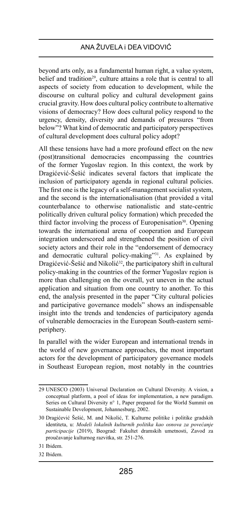beyond arts only, as a fundamental human right, a value system, belief and tradition<sup>29</sup>, culture attains a role that is central to all aspects of society from education to development, while the discourse on cultural policy and cultural development gains crucial gravity. How does cultural policy contribute to alternative visions of democracy? How does cultural policy respond to the urgency, density, diversity and demands of pressures "from below"? What kind of democratic and participatory perspectives of cultural development does cultural policy adopt?

All these tensions have had a more profound effect on the new (post)transitional democracies encompassing the countries of the former Yugoslav region. In this context, the work by Dragićević-Šešić indicates several factors that implicate the inclusion of participatory agenda in regional cultural policies. The first one is the legacy of a self-management socialist system, and the second is the internationalisation (that provided a vital counterbalance to otherwise nationalistic and state-centric politically driven cultural policy formation) which preceded the third factor involving the process of Europenisation<sup>30</sup>. Opening towards the international arena of cooperation and European integration underscored and strengthened the position of civil society actors and their role in the "endorsement of democracy and democratic cultural policy-making"31. As explained by Dragićević-Šešić and Nikolić<sup>32</sup>, the participatory shift in cultural policy-making in the countries of the former Yugoslav region is more than challenging on the overall, yet uneven in the actual application and situation from one country to another. To this end, the analysis presented in the paper "City cultural policies and participative governance models" shows an indispensable insight into the trends and tendencies of participatory agenda of vulnerable democracies in the European South-eastern semiperiphery.

In parallel with the wider European and international trends in the world of new governance approaches, the most important actors for the development of participatory governance models in Southeast European region, most notably in the countries

<sup>29</sup> UNESCO (2003) Universal Declaration on Cultural Diversity. A vision, a conceptual platform, a pool of ideas for implementation, a new paradigm. Series on Cultural Diversity n° 1, Paper prepared for the World Summit on Sustainable Development, Johannesburg, 2002.

<sup>30</sup> Dragićević Šešić, M. and Nikolić, T. Kulturne politike i politike gradskih identiteta, u: *Modeli lokalnih kulturnih politika kao osnova za povećanje participacije* (2019), Beograd: Fakultet dramskih umetnosti, Zavod za proučavanje kulturnog razvitka, str. 251-276.

<sup>31</sup> Ibidem.

<sup>32</sup> Ibidem.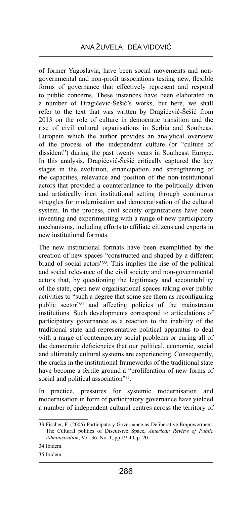of former Yugoslavia, have been social movements and nongovernmental and non-profit associations testing new, flexible forms of governance that effectively represent and respond to public concerns. These instances have been elaborated in a number of Dragićević-Šešić's works, but here, we shall refer to the text that was written by Dragićević-Šešić from 2013 on the role of culture in democratic transition and the rise of civil cultural organisations in Serbia and Southeast Europein which the author provides an analytical overview of the process of the independent culture (or "culture of dissident") during the past twenty years in Southeast Europe. In this analysis, Dragićević-Šešić critically captured the key stages in the evolution, emancipation and strengthening of the capacities, relevance and position of the non-institutional actors that provided a counterbalance to the politically driven and artistically inert institutional setting through continuous struggles for modernisation and democratisation of the cultural system. In the process, civil society organizations have been inventing and experimenting with a range of new participatory mechanisms, including efforts to affiliate citizens and experts in new institutional formats.

The new institutional formats have been exemplified by the creation of new spaces "constructed and shaped by a different brand of social actors"33. This implies the rise of the political and social relevance of the civil society and non-governmental actors that, by questioning the legitimacy and accountability of the state, open new organisational spaces taking over public activities to "such a degree that some see them as reconfiguring public sector"34 and affecting policies of the mainstream institutions. Such developments correspond to articulations of participatory governance as a reaction to the inability of the traditional state and representative political apparatus to deal with a range of contemporary social problems or curing all of the democratic deficiencies that our political, economic, social and ultimately cultural systems are experiencing. Consequently, the cracks in the institutional frameworks of the traditional state have become a fertile ground a "proliferation of new forms of social and political association"<sup>35</sup>.

In practice, pressures for systemic modernisation and modernisation in form of participatory governance have yielded a number of independent cultural centres across the territory of

34 Ibidem.

35 Ibidem.

<sup>33</sup> Fischer, F. (2006) Participatory Governance as Deliberative Empowerment. The Cultural politics of Discursive Space, *American Review of Public Administration*, Vol. 36, No. 1, pp.19-40, p. 20.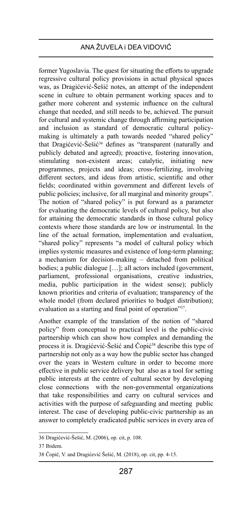former Yugoslavia. The quest for situating the efforts to upgrade regressive cultural policy provisions in actual physical spaces was, as Dragićević-Šešić notes, an attempt of the independent scene in culture to obtain permanent working spaces and to gather more coherent and systemic influence on the cultural change that needed, and still needs to be, achieved. The pursuit for cultural and systemic change through affirming participation and inclusion as standard of democratic cultural policymaking is ultimately a path towards needed "shared policy" that Dragićević-Šešić<sup>36</sup> defines as "transparent (naturally and publicly debated and agreed); proactive, fostering innovation, stimulating non-existent areas; catalytic, initiating new programmes, projects and ideas; cross-fertilizing, involving different sectors, and ideas from artistic, scientific and other fields; coordinated within government and different levels of public policies; inclusive, for all marginal and minority groups". The notion of "shared policy" is put forward as a parameter for evaluating the democratic levels of cultural policy, but also for attaining the democratic standards in those cultural policy contexts where those standards are low or instrumental. In the line of the actual formation, implementation and evaluation, "shared policy" represents "a model of cultural policy which implies systemic measures and existence of long-term planning; a mechanism for decision-making – detached from political bodies; a public dialogue […]; all actors included (government, parliament, professional organisations, creative industries, media, public participation in the widest sense); publicly known priorities and criteria of evaluation; transparency of the whole model (from declared priorities to budget distribution); evaluation as a starting and final point of operation"37.

Another example of the translation of the notion of "shared policy" from conceptual to practical level is the public-civic partnership which can show how complex and demanding the process it is. Dragićević-Šešić and Čopić38 describe this type of partnership not only as a way how the public sector has changed over the years in Western culture in order to become more effective in public service delivery but also as a tool for setting public interests at the centre of cultural sector by developing close connections with the non-governmental organizations that take responsibilities and carry on cultural services and activities with the purpose of safeguarding and meeting public interest. The case of developing public-civic partnership as an answer to completely eradicated public services in every area of

<sup>36</sup> Dragićević-Šešić, M. (2006), op. cit, p. 108.

<sup>37</sup> Ibidem.

<sup>38</sup> Čopič, V. and Dragićević Šešić, M. (2018), op. cit, pp. 4-15.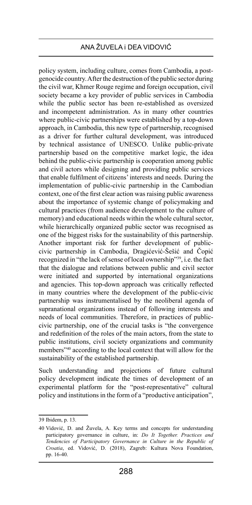policy system, including culture, comes from Cambodia, a postgenocide country. After the destruction of the public sector during the civil war, Khmer Rouge regime and foreign occupation, civil society became a key provider of public services in Cambodia while the public sector has been re-established as oversized and incompetent administration. As in many other countries where public-civic partnerships were established by a top-down approach, in Cambodia, this new type of partnership, recognised as a driver for further cultural development, was introduced by technical assistance of UNESCO. Unlike public-private partnership based on the competitive market logic, the idea behind the public-civic partnership is cooperation among public and civil actors while designing and providing public services that enable fulfilment of citizens' interests and needs. During the implementation of public-civic partnership in the Cambodian context, one of the first clear action was raising public awareness about the importance of systemic change of policymaking and cultural practices (from audience development to the culture of memory) and educational needs within the whole cultural sector, while hierarchically organized public sector was recognised as one of the biggest risks for the sustainability of this partnership. Another important risk for further development of publiccivic partnership in Cambodia, Dragićević-Šešić and Čopić recognized in "the lack of sense of local ownership"39, i.e. the fact that the dialogue and relations between public and civil sector were initiated and supported by international organizations and agencies. This top-down approach was critically reflected in many countries where the development of the public-civic partnership was instrumentalised by the neoliberal agenda of supranational organizations instead of following interests and needs of local communities. Therefore, in practices of publiccivic partnership, one of the crucial tasks is "the convergence and redefinition of the roles of the main actors, from the state to public institutions, civil society organizations and community members"40 according to the local context that will allow for the sustainability of the established partnership.

Such understanding and projections of future cultural policy development indicate the times of development of an experimental platform for the "post-representative" cultural policy and institutions in the form of a "productive anticipation",

<sup>39</sup> Ibidem, p. 13.

<sup>40</sup> Vidović, D. and Žuvela, A. Key terms and concepts for understanding participatory governance in culture, in: *Do It Together. Practices and Tendencies of Participatory Governance in Culture in the Republic of Croatia*, ed. Vidović, D. (2018), Zagreb: Kultura Nova Foundation, pp. 16-40.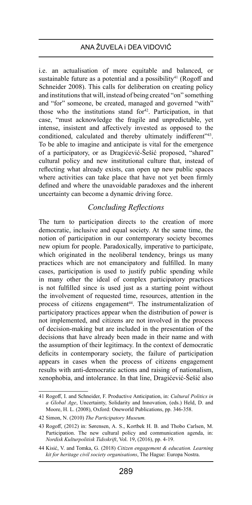i.e. an actualisation of more equitable and balanced, or sustainable future as a potential and a possibility<sup>41</sup> (Rogoff and Schneider 2008). This calls for deliberation on creating policy and institutions that will, instead of being created "on" something and "for" someone, be created, managed and governed "with" those who the institutions stand for $42$ . Participation, in that case, "must acknowledge the fragile and unpredictable, yet intense, insistent and affectively invested as opposed to the conditioned, calculated and thereby ultimately indifferent"<sup>43</sup>. To be able to imagine and anticipate is vital for the emergence of a participatory, or as Dragićević-Šešić proposed, "shared" cultural policy and new institutional culture that, instead of reflecting what already exists, can open up new public spaces where activities can take place that have not yet been firmly defined and where the unavoidable paradoxes and the inherent uncertainty can become a dynamic driving force.

# *Concluding Reflections*

The turn to participation directs to the creation of more democratic, inclusive and equal society. At the same time, the notion of participation in our contemporary society becomes new opium for people. Paradoxically, imperative to participate, which originated in the neoliberal tendency, brings us many practices which are not emancipatory and fulfilled. In many cases, participation is used to justify public spending while in many other the ideal of complex participatory practices is not fulfilled since is used just as a starting point without the involvement of requested time, resources, attention in the process of citizens engagement<sup>44</sup>. The instrumentalization of participatory practices appear when the distribution of power is not implemented, and citizens are not involved in the process of decision-making but are included in the presentation of the decisions that have already been made in their name and with the assumption of their legitimacy. In the context of democratic deficits in contemporary society, the failure of participation appears in cases when the process of citizens engagement results with anti-democratic actions and raising of nationalism, xenophobia, and intolerance. In that line, Dragićević-Šešić also

<sup>41</sup> Rogoff, I. and Schneider, F. Productive Anticipation, in: *Cultural Politics in a Global Age*, Uncertainty, Solidarity and Innovation, (eds.) Held, D. and Moore, H. L. (2008), Oxford: Oneworld Publications, pp. 346-358.

<sup>42</sup> Simon, N. (2010) *The Participatory Museum.*

<sup>43</sup> Rogoff, (2012) in: Sørensen, A. S., Kortbek H. B. and Thobo Carlsen, M. Participation. The new cultural policy and communication agenda, in: *Nordisk Kulturpolitisk Tidsskrift*, Vol. 19, (2016), pp. 4-19.

<sup>44</sup> Kisić, V. and Tomka, G. (2018) *Citizen engagement & education. Learning kit for heritage civil society organisations*, The Hague: Europa Nostra.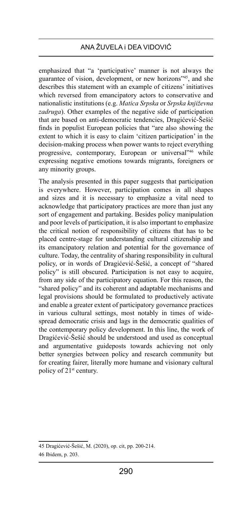emphasized that "a 'participative' manner is not always the guarantee of vision, development, or new horizons"45, and she describes this statement with an example of citizens' initiatives which reversed from emancipatory actors to conservative and nationalistic institutions (e.g. *Matica Srpska* or *Srpska književna zadruga*). Other examples of the negative side of participation that are based on anti-democratic tendencies, Dragićević-Šešić finds in populist European policies that "are also showing the extent to which it is easy to claim 'citizen participation' in the decision-making process when power wants to reject everything progressive, contemporary, European or universal<sup>346</sup> while expressing negative emotions towards migrants, foreigners or any minority groups.

The analysis presented in this paper suggests that participation is everywhere. However, participation comes in all shapes and sizes and it is necessary to emphasize a vital need to acknowledge that participatory practices are more than just any sort of engagement and partaking. Besides policy manipulation and poor levels of participation, it is also important to emphasize the critical notion of responsibility of citizens that has to be placed centre-stage for understanding cultural citizenship and its emancipatory relation and potential for the governance of culture. Today, the centrality of sharing responsibility in cultural policy, or in words of Dragićević-Šešić, a concept of "shared policy" is still obscured. Participation is not easy to acquire, from any side of the participatory equation. For this reason, the "shared policy" and its coherent and adaptable mechanisms and legal provisions should be formulated to productively activate and enable a greater extent of participatory governance practices in various cultural settings, most notably in times of widespread democratic crisis and lags in the democratic qualities of the contemporary policy development. In this line, the work of Dragićević-Šešić should be understood and used as conceptual and argumentative guideposts towards achieving not only better synergies between policy and research community but for creating fairer, literally more humane and visionary cultural policy of 21<sup>st</sup> century.

<sup>45</sup> Dragićević-Šešić, M. (2020), op. cit, pp. 200-214.

<sup>46</sup> Ibidem, p. 203.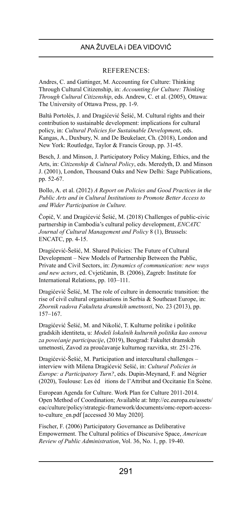#### REFERENCES:

Andres, C. and Gattinger, M. Accounting for Culture: Thinking Through Cultural Citizenship, in: *Accounting for Culture: Thinking Through Cultural Citizenship*, eds. Andrew, C. et al. (2005), Ottawa: The University of Ottawa Press, pp. 1-9.

Baltà Portolés, J. and Dragićević Šešić, M. Cultural rights and their contribution to sustainable development: implications for cultural policy, in: *Cultural Policies for Sustainable Development*, eds. Kangas, A., Duxbury, N. and De Beukelaer, Ch. (2018), London and New York: Routledge, Taylor & Francis Group, pp. 31-45.

Besch, J. and Minson, J. Participatory Policy Making, Ethics, and the Arts, in: *Citizenship & Cultural Policy*, eds. Meredyth, D. and Minson J. (2001), London, Thousand Oaks and New Delhi: Sage Publications, pp. 52-67.

Bollo, A. et al. (2012) *A Report on Policies and Good Practices in the Public Arts and in Cultural Institutions to Promote Better Access to and Wider Participation in Culture.*

Čopič, V. and Dragićević Šešić, M. (2018) Challenges of public-civic partnership in Cambodia's cultural policy development, *ENCATC Journal of Cultural Management and Policy* 8 (1), Brussels: ENCATC, pp. 4-15.

Dragićević-Šešić, M. Shared Policies: The Future of Cultural Development – New Models of Partnership Between the Public, Private and Civil Sectors, in: *Dynamics of communication: new ways and new actors*, ed. Cvjetičanin, B. (2006), Zagreb: Institute for International Relations, pp. 103–111.

Dragićević Šešić, M. The role of culture in democratic transition: the rise of civil cultural organisations in Serbia & Southeast Europe, in: *Zbornik radova Fakulteta dramskih umetnosti*, No. 23 (2013), pp. 157–167.

Dragićević Šešić, M. and Nikolić, T. Kulturne politike i politike gradskih identiteta, u: *Modeli lokalnih kulturnih politika kao osnova za povećanje participacije*, (2019), Beograd: Fakultet dramskih umetnosti, Zavod za proučavanje kulturnog razvitka, str. 251-276.

Dragićević-Šešić, M. Participation and intercultural challenges – interview with Milena Dragićević Sešić, in: *Cultural Policies in Europe: a Participatory Turn?*, eds. Dupin-Meynard, F. and Négrier (2020), Toulouse: Les éd itions de l'Attribut and Occitanie En Scène.

European Agenda for Culture. Work Plan for Culture 2011-2014. Open Method of Coordination; Available at: http://ec.europa.eu/assets/ eac/culture/policy/strategic-framework/documents/omc-report-accessto-culture\_en.pdf [accessed 30 May 2020].

Fischer, F. (2006) Participatory Governance as Deliberative Empowerment. The Cultural politics of Discursive Space, *American Review of Public Administration*, Vol. 36, No. 1, pp. 19-40.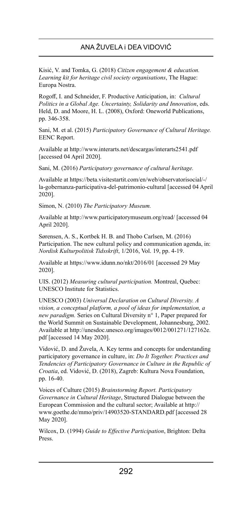Kisić, V. and Tomka, G. (2018) *Citizen engagement & education. Learning kit for heritage civil society organisations*, The Hague: Europa Nostra.

Rogoff, I. and Schneider, F. Productive Anticipation, in: *Cultural Politics in a Global Age. Uncertainty, Solidarity and Innovation*, eds. Held, D. and Moore, H. L. (2008), Oxford: Oneworld Publications, pp. 346-358.

Sani, M. et al. (2015) *Participatory Governance of Cultural Heritage.* EENC Report.

Available at http://www.interarts.net/descargas/interarts2541.pdf [accessed 04 April 2020].

Sani, M. (2016) *Participatory governance of cultural heritage.*

Available at https://beta.visitestartit.com/en/web/observatorisocial/-/ la-gobernanza-participativa-del-patrimonio-cultural [accessed 04 April 2020].

Simon, N. (2010) *The Participatory Museum.*

Available at http://www.participatorymuseum.org/read/ [accessed 04 April 2020].

Sørensen, A. S., Kortbek H. B. and Thobo Carlsen, M. (2016) Participation. The new cultural policy and communication agenda, in: *Nordisk Kulturpolitisk Tidsskrift*, 1/2016, Vol. 19, pp. 4-19.

Available at https://www.idunn.no/nkt/2016/01 [accessed 29 May 2020].

UIS. (2012) *Measuring cultural participation.* Montreal, Quebec: UNESCO Institute for Statistics.

UNESCO (2003) *Universal Declaration on Cultural Diversity. A vision, a conceptual platform, a pool of ideas for implementation, a new paradigm.* Series on Cultural Diversity n° 1, Paper prepared for the World Summit on Sustainable Development, Johannesburg, 2002. Available at http://unesdoc.unesco.org/images/0012/001271/127162e. pdf [accessed 14 May 2020].

Vidović, D. and Žuvela, A. Key terms and concepts for understanding participatory governance in culture, in: *Do It Together. Practices and Tendencies of Participatory Governance in Culture in the Republic of Croatia*, ed. Vidović, D. (2018), Zagreb: Kultura Nova Foundation, pp. 16-40.

Voices of Culture (2015) *Brainstorming Report. Participatory Governance in Cultural Heritage*, Structured Dialogue between the European Commission and the cultural sector; Available at http:// www.goethe.de/mmo/priv/14903520-STANDARD.pdf [accessed 28 May 2020].

Wilcox, D. (1994) *Guide to Effective Participation*, Brighton: Delta Press.